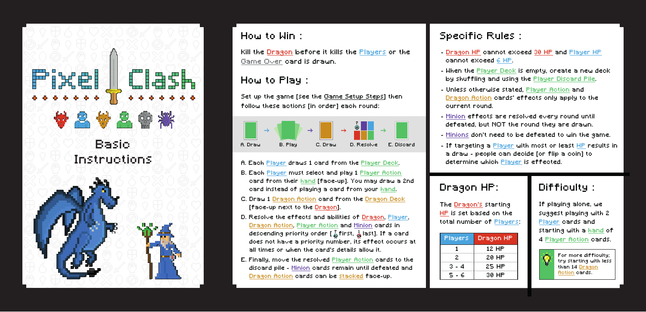



## How to Win :

Kill the Dragon before it kills the Players or the Game Over card is drawn.

#### How to Play :

Set up the game [see the Game Setup Steps] then follow these actions [in order] each round:



- A. Each Player draws 1 card from the Player Deck.
- B. Each Player must select and play 1 Player Action card from their hand [face-up]. You may draw a 2nd card instead of playing a card from your hand.
- C. Draw 1 Dragon Action card from the Dragon Deck [face-up next to the Dragon].
- D. Resolve the effects and abilities of Dragon, Player, Dragon Action, Player Action and Minion cards in descending priority order  $\begin{bmatrix} 2 \\ 4 \end{bmatrix}$  first,  $\frac{1}{40}$  last]. If a card does not have a priority number, its effect occurs at all times or when the card's details allow it.
- E. Finally, move the resolved Player Action cards to the discard pile - Minion cards remain until defeated and Dragon Action cards can be stacked face-up.

# Specific Rules :

- Dragon HP cannot exceed 30 HP and Player HP cannot exceed 6 HP.
- When the Player Deck is empty, create a new deck by shuffling and using the Player Discard Pile.
- Unless otherwise stated, Player Action and Dragon Action cards' effects only apply to the current round.
- Minion effects are resolved every round until defeated, but NOT the round they are drawn.
- Minions don't need to be defeated to win the game.
- If targeting a Player with most or least HP results in a draw - people can decide [or flip a coin] to determine which Player is effected.

# Dragon HP:

The Dragon's starting HP is set based on the total number of Players:

| Players | Dragon HP |
|---------|-----------|
|         | 12 HP     |
| 2       | 20 HP     |
| 3 - 4   | 25 HP     |
| 5 - 6   | 30 HP     |

# Difficulty :

If playing alone, we suggest playing with 2 Player cards and starting with a hand of 4 Player Action cards.